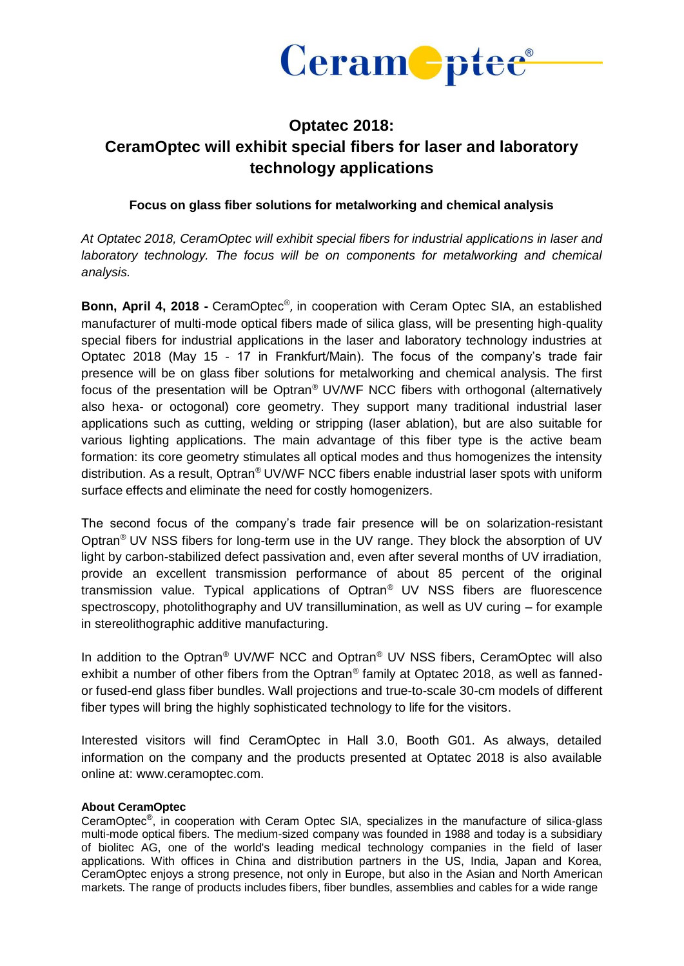

## **Optatec 2018: CeramOptec will exhibit special fibers for laser and laboratory technology applications**

## **Focus on glass fiber solutions for metalworking and chemical analysis**

*At Optatec 2018, CeramOptec will exhibit special fibers for industrial applications in laser and laboratory technology. The focus will be on components for metalworking and chemical analysis.*

Bonn, April 4, 2018 - CeramOptec<sup>®</sup>, in cooperation with Ceram Optec SIA, an established manufacturer of multi-mode optical fibers made of silica glass, will be presenting high-quality special fibers for industrial applications in the laser and laboratory technology industries at Optatec 2018 (May 15 - 17 in Frankfurt/Main). The focus of the company's trade fair presence will be on glass fiber solutions for metalworking and chemical analysis. The first focus of the presentation will be Optran® UV/WF NCC fibers with orthogonal (alternatively also hexa- or octogonal) core geometry. They support many traditional industrial laser applications such as cutting, welding or stripping (laser ablation), but are also suitable for various lighting applications. The main advantage of this fiber type is the active beam formation: its core geometry stimulates all optical modes and thus homogenizes the intensity distribution. As a result, Optran® UV/WF NCC fibers enable industrial laser spots with uniform surface effects and eliminate the need for costly homogenizers.

The second focus of the company's trade fair presence will be on solarization-resistant Optran® UV NSS fibers for long-term use in the UV range. They block the absorption of UV light by carbon-stabilized defect passivation and, even after several months of UV irradiation, provide an excellent transmission performance of about 85 percent of the original transmission value. Typical applications of Optran® UV NSS fibers are fluorescence spectroscopy, photolithography and UV transillumination, as well as UV curing – for example in stereolithographic additive manufacturing.

In addition to the Optran® UV/WF NCC and Optran® UV NSS fibers, CeramOptec will also exhibit a number of other fibers from the Optran® family at Optatec 2018, as well as fannedor fused-end glass fiber bundles. Wall projections and true-to-scale 30-cm models of different fiber types will bring the highly sophisticated technology to life for the visitors.

Interested visitors will find CeramOptec in Hall 3.0, Booth G01. As always, detailed information on the company and the products presented at Optatec 2018 is also available online at: www.ceramoptec.com.

## **About CeramOptec**

CeramOptec<sup>®</sup>, in cooperation with Ceram Optec SIA, specializes in the manufacture of silica-glass multi-mode optical fibers. The medium-sized company was founded in 1988 and today is a subsidiary of biolitec AG, one of the world's leading medical technology companies in the field of laser applications. With offices in China and distribution partners in the US, India, Japan and Korea, CeramOptec enjoys a strong presence, not only in Europe, but also in the Asian and North American markets. The range of products includes fibers, fiber bundles, assemblies and cables for a wide range